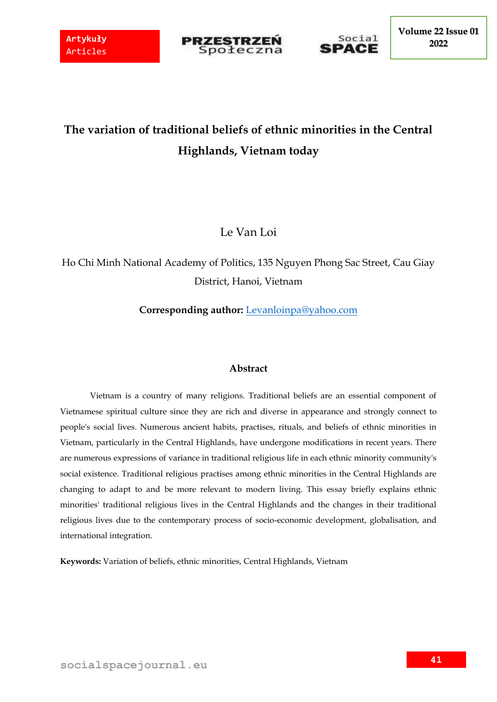



# **The variation of traditional beliefs of ethnic minorities in the Central Highlands, Vietnam today**

Le Van Loi

Ho Chi Minh National Academy of Politics, 135 Nguyen Phong Sac Street, Cau Giay District, Hanoi, Vietnam

**Corresponding author:** [Levanloinpa@yahoo.com](mailto:Levanloinpa@yahoo.com)

### **Abstract**

Vietnam is a country of many religions. Traditional beliefs are an essential component of Vietnamese spiritual culture since they are rich and diverse in appearance and strongly connect to people's social lives. Numerous ancient habits, practises, rituals, and beliefs of ethnic minorities in Vietnam, particularly in the Central Highlands, have undergone modifications in recent years. There are numerous expressions of variance in traditional religious life in each ethnic minority community's social existence. Traditional religious practises among ethnic minorities in the Central Highlands are changing to adapt to and be more relevant to modern living. This essay briefly explains ethnic minorities' traditional religious lives in the Central Highlands and the changes in their traditional religious lives due to the contemporary process of socio-economic development, globalisation, and international integration.

**Keywords:** Variation of beliefs, ethnic minorities, Central Highlands, Vietnam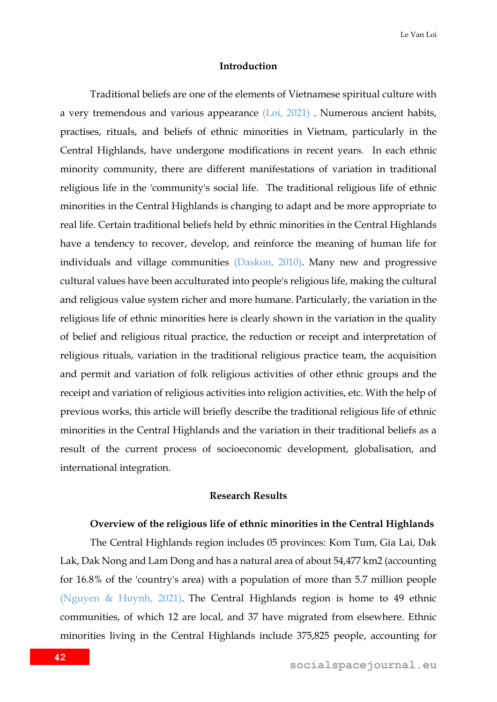### **Introduction**

Traditional beliefs are one of the elements of Vietnamese spiritual culture with a very tremendous and various appearance (Loi, 2021) . Numerous ancient habits, practises, rituals, and beliefs of ethnic minorities in Vietnam, particularly in the Central Highlands, have undergone modifications in recent years. In each ethnic minority community, there are different manifestations of variation in traditional religious life in the 'community's social life. The traditional religious life of ethnic minorities in the Central Highlands is changing to adapt and be more appropriate to real life. Certain traditional beliefs held by ethnic minorities in the Central Highlands have a tendency to recover, develop, and reinforce the meaning of human life for individuals and village communities (Daskon, 2010). Many new and progressive cultural values have been acculturated into people's religious life, making the cultural and religious value system richer and more humane. Particularly, the variation in the religious life of ethnic minorities here is clearly shown in the variation in the quality of belief and religious ritual practice, the reduction or receipt and interpretation of religious rituals, variation in the traditional religious practice team, the acquisition and permit and variation of folk religious activities of other ethnic groups and the receipt and variation of religious activities into religion activities, etc. With the help of previous works, this article will briefly describe the traditional religious life of ethnic minorities in the Central Highlands and the variation in their traditional beliefs as a result of the current process of socioeconomic development, globalisation, and international integration.

#### **Research Results**

### **Overview of the religious life of ethnic minorities in the Central Highlands**

The Central Highlands region includes 05 provinces: Kom Tum, Gia Lai, Dak Lak, Dak Nong and Lam Dong and has a natural area of about 54,477 km2 (accounting for 16.8% of the 'country's area) with a population of more than 5.7 million people (Nguyen & Huynh, 2021). The Central Highlands region is home to 49 ethnic communities, of which 12 are local, and 37 have migrated from elsewhere. Ethnic minorities living in the Central Highlands include 375,825 people, accounting for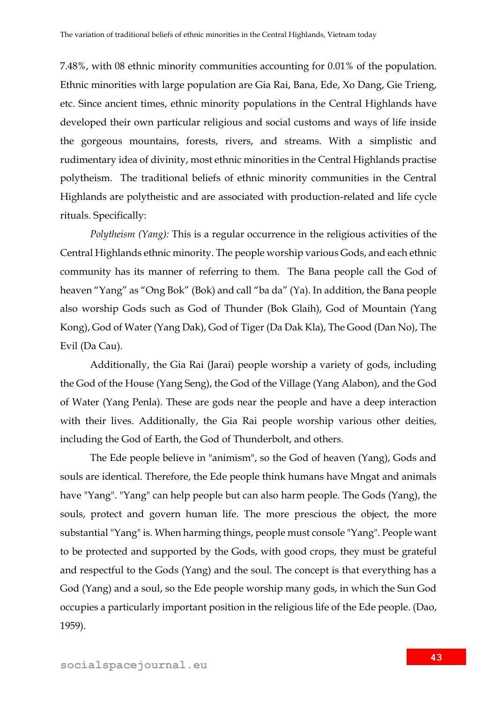7.48%, with 08 ethnic minority communities accounting for 0.01% of the population. Ethnic minorities with large population are Gia Rai, Bana, Ede, Xo Dang, Gie Trieng, etc. Since ancient times, ethnic minority populations in the Central Highlands have developed their own particular religious and social customs and ways of life inside the gorgeous mountains, forests, rivers, and streams. With a simplistic and rudimentary idea of divinity, most ethnic minorities in the Central Highlands practise polytheism. The traditional beliefs of ethnic minority communities in the Central Highlands are polytheistic and are associated with production-related and life cycle rituals. Specifically:

*Polytheism (Yang):* This is a regular occurrence in the religious activities of the Central Highlands ethnic minority. The people worship various Gods, and each ethnic community has its manner of referring to them. The Bana people call the God of heaven "Yang" as "Ong Bok" (Bok) and call "ba da" (Ya). In addition, the Bana people also worship Gods such as God of Thunder (Bok Glaih), God of Mountain (Yang Kong), God of Water (Yang Dak), God of Tiger (Da Dak Kla), The Good (Dan No), The Evil (Da Cau).

Additionally, the Gia Rai (Jarai) people worship a variety of gods, including the God of the House (Yang Seng), the God of the Village (Yang Alabon), and the God of Water (Yang Penla). These are gods near the people and have a deep interaction with their lives. Additionally, the Gia Rai people worship various other deities, including the God of Earth, the God of Thunderbolt, and others.

The Ede people believe in "animism", so the God of heaven (Yang), Gods and souls are identical. Therefore, the Ede people think humans have Mngat and animals have "Yang". "Yang" can help people but can also harm people. The Gods (Yang), the souls, protect and govern human life. The more prescious the object, the more substantial "Yang" is. When harming things, people must console "Yang". People want to be protected and supported by the Gods, with good crops, they must be grateful and respectful to the Gods (Yang) and the soul. The concept is that everything has a God (Yang) and a soul, so the Ede people worship many gods, in which the Sun God occupies a particularly important position in the religious life of the Ede people. (Dao, 1959).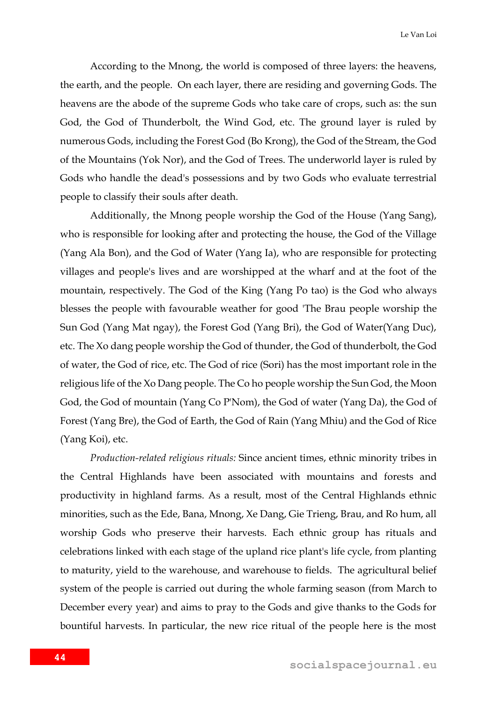According to the Mnong, the world is composed of three layers: the heavens, the earth, and the people. On each layer, there are residing and governing Gods. The heavens are the abode of the supreme Gods who take care of crops, such as: the sun God, the God of Thunderbolt, the Wind God, etc. The ground layer is ruled by numerous Gods, including the Forest God (Bo Krong), the God of the Stream, the God of the Mountains (Yok Nor), and the God of Trees. The underworld layer is ruled by Gods who handle the dead's possessions and by two Gods who evaluate terrestrial people to classify their souls after death.

Additionally, the Mnong people worship the God of the House (Yang Sang), who is responsible for looking after and protecting the house, the God of the Village (Yang Ala Bon), and the God of Water (Yang Ia), who are responsible for protecting villages and people's lives and are worshipped at the wharf and at the foot of the mountain, respectively. The God of the King (Yang Po tao) is the God who always blesses the people with favourable weather for good 'The Brau people worship the Sun God (Yang Mat ngay), the Forest God (Yang Bri), the God of Water(Yang Duc), etc. The Xo dang people worship the God of thunder, the God of thunderbolt, the God of water, the God of rice, etc. The God of rice (Sori) has the most important role in the religious life of the Xo Dang people. The Co ho people worship the Sun God, the Moon God, the God of mountain (Yang Co P'Nom), the God of water (Yang Da), the God of Forest (Yang Bre), the God of Earth, the God of Rain (Yang Mhiu) and the God of Rice (Yang Koi), etc.

*Production-related religious rituals:* Since ancient times, ethnic minority tribes in the Central Highlands have been associated with mountains and forests and productivity in highland farms. As a result, most of the Central Highlands ethnic minorities, such as the Ede, Bana, Mnong, Xe Dang, Gie Trieng, Brau, and Ro hum, all worship Gods who preserve their harvests. Each ethnic group has rituals and celebrations linked with each stage of the upland rice plant's life cycle, from planting to maturity, yield to the warehouse, and warehouse to fields. The agricultural belief system of the people is carried out during the whole farming season (from March to December every year) and aims to pray to the Gods and give thanks to the Gods for bountiful harvests. In particular, the new rice ritual of the people here is the most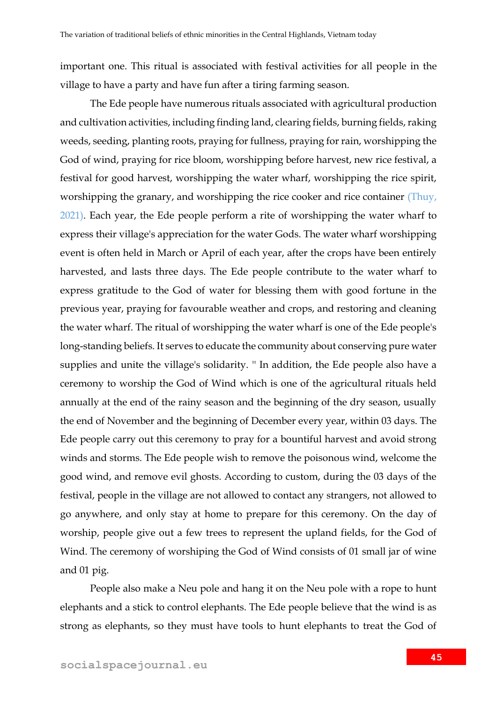important one. This ritual is associated with festival activities for all people in the village to have a party and have fun after a tiring farming season.

The Ede people have numerous rituals associated with agricultural production and cultivation activities, including finding land, clearing fields, burning fields, raking weeds, seeding, planting roots, praying for fullness, praying for rain, worshipping the God of wind, praying for rice bloom, worshipping before harvest, new rice festival, a festival for good harvest, worshipping the water wharf, worshipping the rice spirit, worshipping the granary, and worshipping the rice cooker and rice container (Thuy, 2021). Each year, the Ede people perform a rite of worshipping the water wharf to express their village's appreciation for the water Gods. The water wharf worshipping event is often held in March or April of each year, after the crops have been entirely harvested, and lasts three days. The Ede people contribute to the water wharf to express gratitude to the God of water for blessing them with good fortune in the previous year, praying for favourable weather and crops, and restoring and cleaning the water wharf. The ritual of worshipping the water wharf is one of the Ede people's long-standing beliefs. It serves to educate the community about conserving pure water supplies and unite the village's solidarity. '' In addition, the Ede people also have a ceremony to worship the God of Wind which is one of the agricultural rituals held annually at the end of the rainy season and the beginning of the dry season, usually the end of November and the beginning of December every year, within 03 days. The Ede people carry out this ceremony to pray for a bountiful harvest and avoid strong winds and storms. The Ede people wish to remove the poisonous wind, welcome the good wind, and remove evil ghosts. According to custom, during the 03 days of the festival, people in the village are not allowed to contact any strangers, not allowed to go anywhere, and only stay at home to prepare for this ceremony. On the day of worship, people give out a few trees to represent the upland fields, for the God of Wind. The ceremony of worshiping the God of Wind consists of 01 small jar of wine and 01 pig.

People also make a Neu pole and hang it on the Neu pole with a rope to hunt elephants and a stick to control elephants. The Ede people believe that the wind is as strong as elephants, so they must have tools to hunt elephants to treat the God of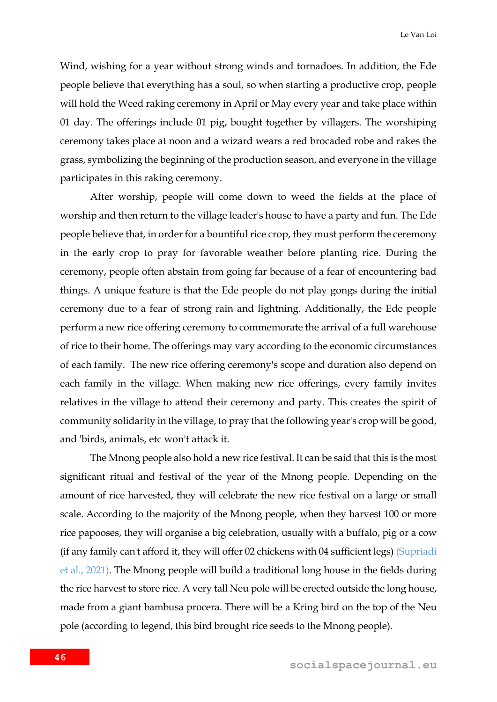Wind, wishing for a year without strong winds and tornadoes. In addition, the Ede people believe that everything has a soul, so when starting a productive crop, people will hold the Weed raking ceremony in April or May every year and take place within 01 day. The offerings include 01 pig, bought together by villagers. The worshiping ceremony takes place at noon and a wizard wears a red brocaded robe and rakes the grass, symbolizing the beginning of the production season, and everyone in the village participates in this raking ceremony.

After worship, people will come down to weed the fields at the place of worship and then return to the village leader's house to have a party and fun. The Ede people believe that, in order for a bountiful rice crop, they must perform the ceremony in the early crop to pray for favorable weather before planting rice. During the ceremony, people often abstain from going far because of a fear of encountering bad things. A unique feature is that the Ede people do not play gongs during the initial ceremony due to a fear of strong rain and lightning. Additionally, the Ede people perform a new rice offering ceremony to commemorate the arrival of a full warehouse of rice to their home. The offerings may vary according to the economic circumstances of each family. The new rice offering ceremony's scope and duration also depend on each family in the village. When making new rice offerings, every family invites relatives in the village to attend their ceremony and party. This creates the spirit of community solidarity in the village, to pray that the following year's crop will be good, and 'birds, animals, etc won't attack it.

The Mnong people also hold a new rice festival. It can be said that this is the most significant ritual and festival of the year of the Mnong people. Depending on the amount of rice harvested, they will celebrate the new rice festival on a large or small scale. According to the majority of the Mnong people, when they harvest 100 or more rice papooses, they will organise a big celebration, usually with a buffalo, pig or a cow (if any family can't afford it, they will offer 02 chickens with 04 sufficient legs) (Supriadi et al., 2021). The Mnong people will build a traditional long house in the fields during the rice harvest to store rice. A very tall Neu pole will be erected outside the long house, made from a giant bambusa procera. There will be a Kring bird on the top of the Neu pole (according to legend, this bird brought rice seeds to the Mnong people).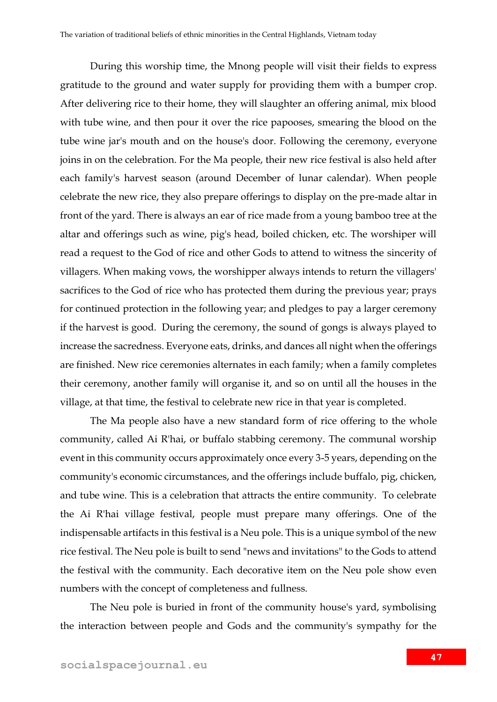During this worship time, the Mnong people will visit their fields to express gratitude to the ground and water supply for providing them with a bumper crop. After delivering rice to their home, they will slaughter an offering animal, mix blood with tube wine, and then pour it over the rice papooses, smearing the blood on the tube wine jar's mouth and on the house's door. Following the ceremony, everyone joins in on the celebration. For the Ma people, their new rice festival is also held after each family's harvest season (around December of lunar calendar). When people celebrate the new rice, they also prepare offerings to display on the pre-made altar in front of the yard. There is always an ear of rice made from a young bamboo tree at the altar and offerings such as wine, pig's head, boiled chicken, etc. The worshiper will read a request to the God of rice and other Gods to attend to witness the sincerity of villagers. When making vows, the worshipper always intends to return the villagers' sacrifices to the God of rice who has protected them during the previous year; prays for continued protection in the following year; and pledges to pay a larger ceremony if the harvest is good. During the ceremony, the sound of gongs is always played to increase the sacredness. Everyone eats, drinks, and dances all night when the offerings are finished. New rice ceremonies alternates in each family; when a family completes their ceremony, another family will organise it, and so on until all the houses in the village, at that time, the festival to celebrate new rice in that year is completed.

The Ma people also have a new standard form of rice offering to the whole community, called Ai R'hai, or buffalo stabbing ceremony. The communal worship event in this community occurs approximately once every 3-5 years, depending on the community's economic circumstances, and the offerings include buffalo, pig, chicken, and tube wine. This is a celebration that attracts the entire community. To celebrate the Ai R'hai village festival, people must prepare many offerings. One of the indispensable artifacts in this festival is a Neu pole. This is a unique symbol of the new rice festival. The Neu pole is built to send "news and invitations" to the Gods to attend the festival with the community. Each decorative item on the Neu pole show even numbers with the concept of completeness and fullness.

The Neu pole is buried in front of the community house's yard, symbolising the interaction between people and Gods and the community's sympathy for the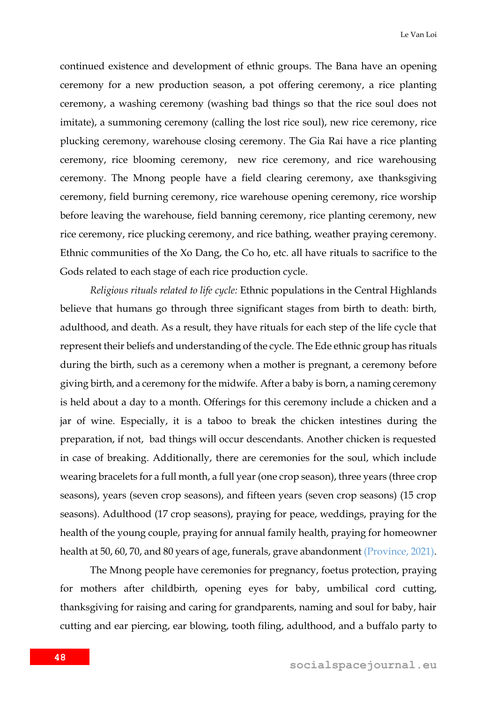continued existence and development of ethnic groups. The Bana have an opening ceremony for a new production season, a pot offering ceremony, a rice planting ceremony, a washing ceremony (washing bad things so that the rice soul does not imitate), a summoning ceremony (calling the lost rice soul), new rice ceremony, rice plucking ceremony, warehouse closing ceremony. The Gia Rai have a rice planting ceremony, rice blooming ceremony, new rice ceremony, and rice warehousing ceremony. The Mnong people have a field clearing ceremony, axe thanksgiving ceremony, field burning ceremony, rice warehouse opening ceremony, rice worship before leaving the warehouse, field banning ceremony, rice planting ceremony, new rice ceremony, rice plucking ceremony, and rice bathing, weather praying ceremony. Ethnic communities of the Xo Dang, the Co ho, etc. all have rituals to sacrifice to the Gods related to each stage of each rice production cycle.

*Religious rituals related to life cycle:* Ethnic populations in the Central Highlands believe that humans go through three significant stages from birth to death: birth, adulthood, and death. As a result, they have rituals for each step of the life cycle that represent their beliefs and understanding of the cycle. The Ede ethnic group has rituals during the birth, such as a ceremony when a mother is pregnant, a ceremony before giving birth, and a ceremony for the midwife. After a baby is born, a naming ceremony is held about a day to a month. Offerings for this ceremony include a chicken and a jar of wine. Especially, it is a taboo to break the chicken intestines during the preparation, if not, bad things will occur descendants. Another chicken is requested in case of breaking. Additionally, there are ceremonies for the soul, which include wearing bracelets for a full month, a full year (one crop season), three years (three crop seasons), years (seven crop seasons), and fifteen years (seven crop seasons) (15 crop seasons). Adulthood (17 crop seasons), praying for peace, weddings, praying for the health of the young couple, praying for annual family health, praying for homeowner health at 50, 60, 70, and 80 years of age, funerals, grave abandonment (Province, 2021).

The Mnong people have ceremonies for pregnancy, foetus protection, praying for mothers after childbirth, opening eyes for baby, umbilical cord cutting, thanksgiving for raising and caring for grandparents, naming and soul for baby, hair cutting and ear piercing, ear blowing, tooth filing, adulthood, and a buffalo party to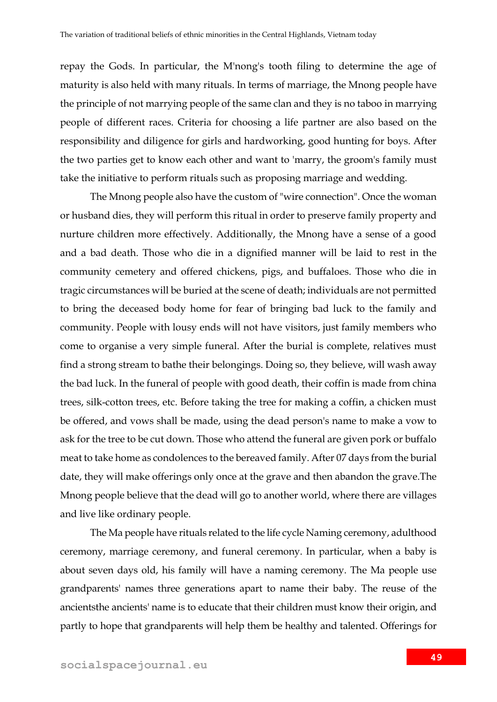repay the Gods. In particular, the M'nong's tooth filing to determine the age of maturity is also held with many rituals. In terms of marriage, the Mnong people have the principle of not marrying people of the same clan and they is no taboo in marrying people of different races. Criteria for choosing a life partner are also based on the responsibility and diligence for girls and hardworking, good hunting for boys. After the two parties get to know each other and want to 'marry, the groom's family must take the initiative to perform rituals such as proposing marriage and wedding.

The Mnong people also have the custom of "wire connection". Once the woman or husband dies, they will perform this ritual in order to preserve family property and nurture children more effectively. Additionally, the Mnong have a sense of a good and a bad death. Those who die in a dignified manner will be laid to rest in the community cemetery and offered chickens, pigs, and buffaloes. Those who die in tragic circumstances will be buried at the scene of death; individuals are not permitted to bring the deceased body home for fear of bringing bad luck to the family and community. People with lousy ends will not have visitors, just family members who come to organise a very simple funeral. After the burial is complete, relatives must find a strong stream to bathe their belongings. Doing so, they believe, will wash away the bad luck. In the funeral of people with good death, their coffin is made from china trees, silk-cotton trees, etc. Before taking the tree for making a coffin, a chicken must be offered, and vows shall be made, using the dead person's name to make a vow to ask for the tree to be cut down. Those who attend the funeral are given pork or buffalo meat to take home as condolences to the bereaved family. After 07 days from the burial date, they will make offerings only once at the grave and then abandon the grave.The Mnong people believe that the dead will go to another world, where there are villages and live like ordinary people.

The Ma people have rituals related to the life cycle Naming ceremony, adulthood ceremony, marriage ceremony, and funeral ceremony. In particular, when a baby is about seven days old, his family will have a naming ceremony. The Ma people use grandparents' names three generations apart to name their baby. The reuse of the ancientsthe ancients' name is to educate that their children must know their origin, and partly to hope that grandparents will help them be healthy and talented. Offerings for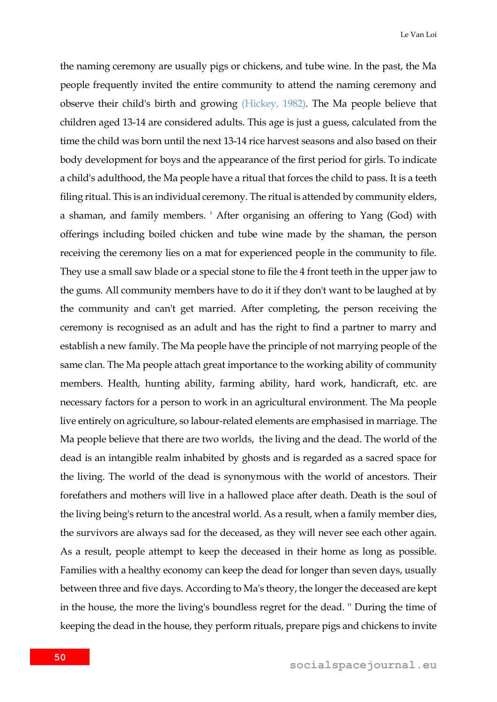the naming ceremony are usually pigs or chickens, and tube wine. In the past, the Ma people frequently invited the entire community to attend the naming ceremony and observe their child's birth and growing (Hickey, 1982). The Ma people believe that children aged 13-14 are considered adults. This age is just a guess, calculated from the time the child was born until the next 13-14 rice harvest seasons and also based on their body development for boys and the appearance of the first period for girls. To indicate a child's adulthood, the Ma people have a ritual that forces the child to pass. It is a teeth filing ritual. This is an individual ceremony. The ritual is attended by community elders, a shaman, and family members. ' After organising an offering to Yang (God) with offerings including boiled chicken and tube wine made by the shaman, the person receiving the ceremony lies on a mat for experienced people in the community to file. They use a small saw blade or a special stone to file the 4 front teeth in the upper jaw to the gums. All community members have to do it if they don't want to be laughed at by the community and can't get married. After completing, the person receiving the ceremony is recognised as an adult and has the right to find a partner to marry and establish a new family. The Ma people have the principle of not marrying people of the same clan. The Ma people attach great importance to the working ability of community members. Health, hunting ability, farming ability, hard work, handicraft, etc. are necessary factors for a person to work in an agricultural environment. The Ma people live entirely on agriculture, so labour-related elements are emphasised in marriage. The Ma people believe that there are two worlds, the living and the dead. The world of the dead is an intangible realm inhabited by ghosts and is regarded as a sacred space for the living. The world of the dead is synonymous with the world of ancestors. Their forefathers and mothers will live in a hallowed place after death. Death is the soul of the living being's return to the ancestral world. As a result, when a family member dies, the survivors are always sad for the deceased, as they will never see each other again. As a result, people attempt to keep the deceased in their home as long as possible. Families with a healthy economy can keep the dead for longer than seven days, usually between three and five days. According to Ma's theory, the longer the deceased are kept in the house, the more the living's boundless regret for the dead. '' During the time of keeping the dead in the house, they perform rituals, prepare pigs and chickens to invite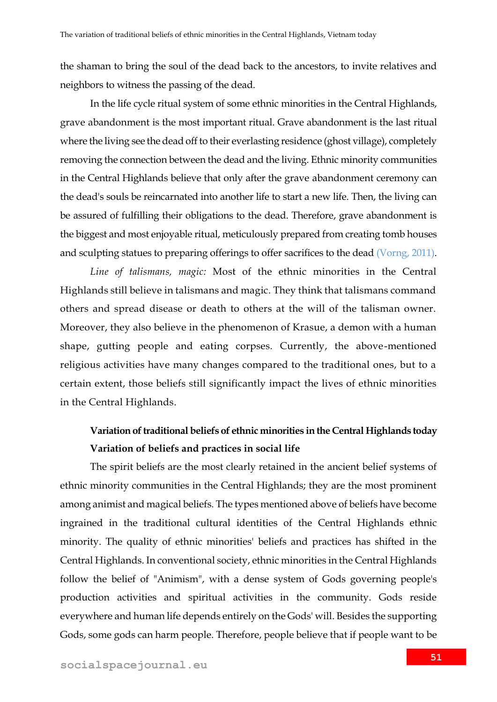the shaman to bring the soul of the dead back to the ancestors, to invite relatives and neighbors to witness the passing of the dead.

In the life cycle ritual system of some ethnic minorities in the Central Highlands, grave abandonment is the most important ritual. Grave abandonment is the last ritual where the living see the dead off to their everlasting residence (ghost village), completely removing the connection between the dead and the living. Ethnic minority communities in the Central Highlands believe that only after the grave abandonment ceremony can the dead's souls be reincarnated into another life to start a new life. Then, the living can be assured of fulfilling their obligations to the dead. Therefore, grave abandonment is the biggest and most enjoyable ritual, meticulously prepared from creating tomb houses and sculpting statues to preparing offerings to offer sacrifices to the dead (Vorng, 2011).

*Line of talismans, magic:* Most of the ethnic minorities in the Central Highlands still believe in talismans and magic. They think that talismans command others and spread disease or death to others at the will of the talisman owner. Moreover, they also believe in the phenomenon of Krasue, a demon with a human shape, gutting people and eating corpses. Currently, the above-mentioned religious activities have many changes compared to the traditional ones, but to a certain extent, those beliefs still significantly impact the lives of ethnic minorities in the Central Highlands.

### **Variation of traditional beliefs of ethnic minorities in the Central Highlands today Variation of beliefs and practices in social life**

The spirit beliefs are the most clearly retained in the ancient belief systems of ethnic minority communities in the Central Highlands; they are the most prominent among animist and magical beliefs. The types mentioned above of beliefs have become ingrained in the traditional cultural identities of the Central Highlands ethnic minority. The quality of ethnic minorities' beliefs and practices has shifted in the Central Highlands. In conventional society, ethnic minorities in the Central Highlands follow the belief of "Animism", with a dense system of Gods governing people's production activities and spiritual activities in the community. Gods reside everywhere and human life depends entirely on the Gods' will. Besides the supporting Gods, some gods can harm people. Therefore, people believe that if people want to be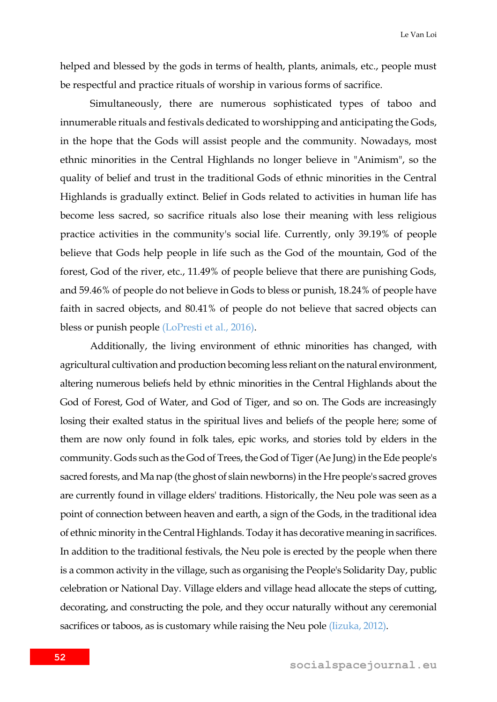helped and blessed by the gods in terms of health, plants, animals, etc., people must be respectful and practice rituals of worship in various forms of sacrifice.

Simultaneously, there are numerous sophisticated types of taboo and innumerable rituals and festivals dedicated to worshipping and anticipating the Gods, in the hope that the Gods will assist people and the community. Nowadays, most ethnic minorities in the Central Highlands no longer believe in "Animism", so the quality of belief and trust in the traditional Gods of ethnic minorities in the Central Highlands is gradually extinct. Belief in Gods related to activities in human life has become less sacred, so sacrifice rituals also lose their meaning with less religious practice activities in the community's social life. Currently, only 39.19% of people believe that Gods help people in life such as the God of the mountain, God of the forest, God of the river, etc., 11.49% of people believe that there are punishing Gods, and 59.46% of people do not believe in Gods to bless or punish, 18.24% of people have faith in sacred objects, and 80.41% of people do not believe that sacred objects can bless or punish people (LoPresti et al., 2016).

Additionally, the living environment of ethnic minorities has changed, with agricultural cultivation and production becoming less reliant on the natural environment, altering numerous beliefs held by ethnic minorities in the Central Highlands about the God of Forest, God of Water, and God of Tiger, and so on. The Gods are increasingly losing their exalted status in the spiritual lives and beliefs of the people here; some of them are now only found in folk tales, epic works, and stories told by elders in the community. Gods such as the God of Trees, the God of Tiger (Ae Jung) in the Ede people's sacred forests, and Ma nap (the ghost of slain newborns) in the Hre people's sacred groves are currently found in village elders' traditions. Historically, the Neu pole was seen as a point of connection between heaven and earth, a sign of the Gods, in the traditional idea of ethnic minority in the Central Highlands. Today it has decorative meaning in sacrifices. In addition to the traditional festivals, the Neu pole is erected by the people when there is a common activity in the village, such as organising the People's Solidarity Day, public celebration or National Day. Village elders and village head allocate the steps of cutting, decorating, and constructing the pole, and they occur naturally without any ceremonial sacrifices or taboos, as is customary while raising the Neu pole *(Iizuka, 2012)*.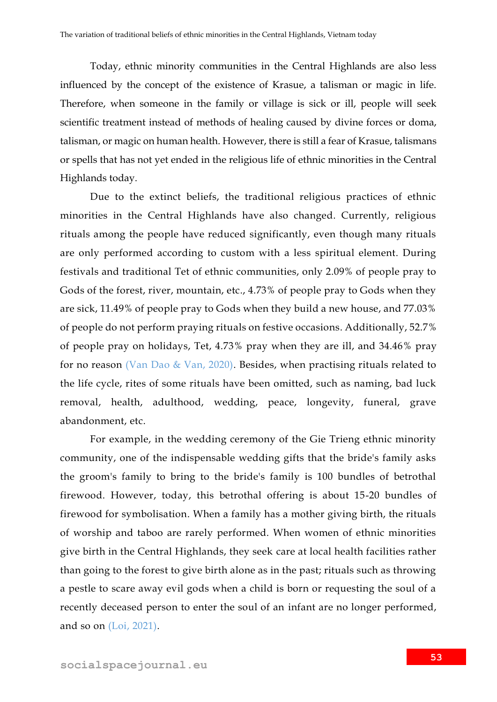Today, ethnic minority communities in the Central Highlands are also less influenced by the concept of the existence of Krasue, a talisman or magic in life. Therefore, when someone in the family or village is sick or ill, people will seek scientific treatment instead of methods of healing caused by divine forces or doma, talisman, or magic on human health. However, there is still a fear of Krasue, talismans or spells that has not yet ended in the religious life of ethnic minorities in the Central Highlands today.

Due to the extinct beliefs, the traditional religious practices of ethnic minorities in the Central Highlands have also changed. Currently, religious rituals among the people have reduced significantly, even though many rituals are only performed according to custom with a less spiritual element. During festivals and traditional Tet of ethnic communities, only 2.09% of people pray to Gods of the forest, river, mountain, etc., 4.73% of people pray to Gods when they are sick, 11.49% of people pray to Gods when they build a new house, and 77.03% of people do not perform praying rituals on festive occasions. Additionally, 52.7% of people pray on holidays, Tet, 4.73% pray when they are ill, and 34.46% pray for no reason (Van Dao & Van, 2020). Besides, when practising rituals related to the life cycle, rites of some rituals have been omitted, such as naming, bad luck removal, health, adulthood, wedding, peace, longevity, funeral, grave abandonment, etc.

For example, in the wedding ceremony of the Gie Trieng ethnic minority community, one of the indispensable wedding gifts that the bride's family asks the groom's family to bring to the bride's family is 100 bundles of betrothal firewood. However, today, this betrothal offering is about 15-20 bundles of firewood for symbolisation. When a family has a mother giving birth, the rituals of worship and taboo are rarely performed. When women of ethnic minorities give birth in the Central Highlands, they seek care at local health facilities rather than going to the forest to give birth alone as in the past; rituals such as throwing a pestle to scare away evil gods when a child is born or requesting the soul of a recently deceased person to enter the soul of an infant are no longer performed, and so on (Loi, 2021).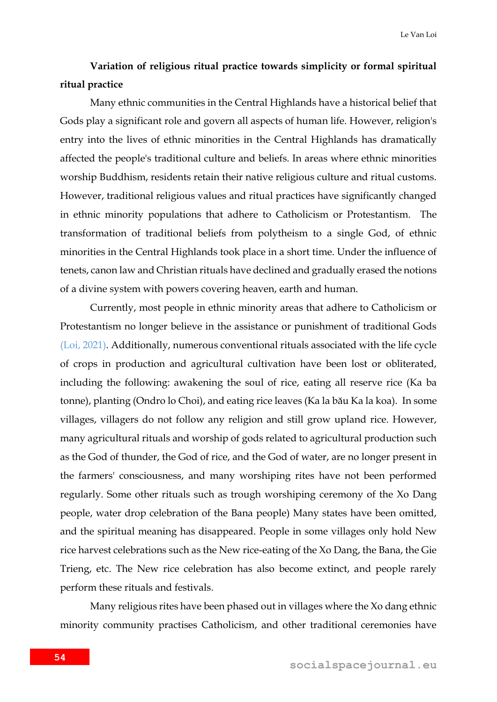### **Variation of religious ritual practice towards simplicity or formal spiritual ritual practice**

Many ethnic communities in the Central Highlands have a historical belief that Gods play a significant role and govern all aspects of human life. However, religion's entry into the lives of ethnic minorities in the Central Highlands has dramatically affected the people's traditional culture and beliefs. In areas where ethnic minorities worship Buddhism, residents retain their native religious culture and ritual customs. However, traditional religious values and ritual practices have significantly changed in ethnic minority populations that adhere to Catholicism or Protestantism. The transformation of traditional beliefs from polytheism to a single God, of ethnic minorities in the Central Highlands took place in a short time. Under the influence of tenets, canon law and Christian rituals have declined and gradually erased the notions of a divine system with powers covering heaven, earth and human.

Currently, most people in ethnic minority areas that adhere to Catholicism or Protestantism no longer believe in the assistance or punishment of traditional Gods (Loi, 2021). Additionally, numerous conventional rituals associated with the life cycle of crops in production and agricultural cultivation have been lost or obliterated, including the following: awakening the soul of rice, eating all reserve rice (Ka ba tonne), planting (Ondro lo Choi), and eating rice leaves (Ka la bău Ka la koa). In some villages, villagers do not follow any religion and still grow upland rice. However, many agricultural rituals and worship of gods related to agricultural production such as the God of thunder, the God of rice, and the God of water, are no longer present in the farmers' consciousness, and many worshiping rites have not been performed regularly. Some other rituals such as trough worshiping ceremony of the Xo Dang people, water drop celebration of the Bana people) Many states have been omitted, and the spiritual meaning has disappeared. People in some villages only hold New rice harvest celebrations such as the New rice-eating of the Xo Dang, the Bana, the Gie Trieng, etc. The New rice celebration has also become extinct, and people rarely perform these rituals and festivals.

Many religious rites have been phased out in villages where the Xo dang ethnic minority community practises Catholicism, and other traditional ceremonies have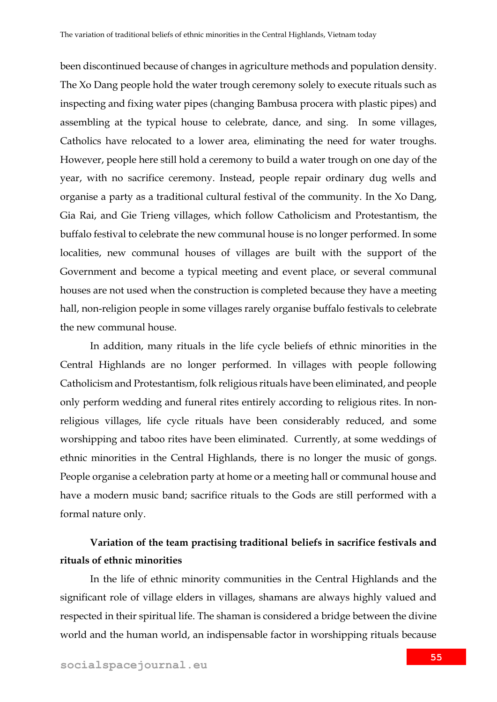been discontinued because of changes in agriculture methods and population density. The Xo Dang people hold the water trough ceremony solely to execute rituals such as inspecting and fixing water pipes (changing Bambusa procera with plastic pipes) and assembling at the typical house to celebrate, dance, and sing. In some villages, Catholics have relocated to a lower area, eliminating the need for water troughs. However, people here still hold a ceremony to build a water trough on one day of the year, with no sacrifice ceremony. Instead, people repair ordinary dug wells and organise a party as a traditional cultural festival of the community. In the Xo Dang, Gia Rai, and Gie Trieng villages, which follow Catholicism and Protestantism, the buffalo festival to celebrate the new communal house is no longer performed. In some localities, new communal houses of villages are built with the support of the Government and become a typical meeting and event place, or several communal houses are not used when the construction is completed because they have a meeting hall, non-religion people in some villages rarely organise buffalo festivals to celebrate the new communal house.

In addition, many rituals in the life cycle beliefs of ethnic minorities in the Central Highlands are no longer performed. In villages with people following Catholicism and Protestantism, folk religious rituals have been eliminated, and people only perform wedding and funeral rites entirely according to religious rites. In nonreligious villages, life cycle rituals have been considerably reduced, and some worshipping and taboo rites have been eliminated. Currently, at some weddings of ethnic minorities in the Central Highlands, there is no longer the music of gongs. People organise a celebration party at home or a meeting hall or communal house and have a modern music band; sacrifice rituals to the Gods are still performed with a formal nature only.

## **Variation of the team practising traditional beliefs in sacrifice festivals and rituals of ethnic minorities**

In the life of ethnic minority communities in the Central Highlands and the significant role of village elders in villages, shamans are always highly valued and respected in their spiritual life. The shaman is considered a bridge between the divine world and the human world, an indispensable factor in worshipping rituals because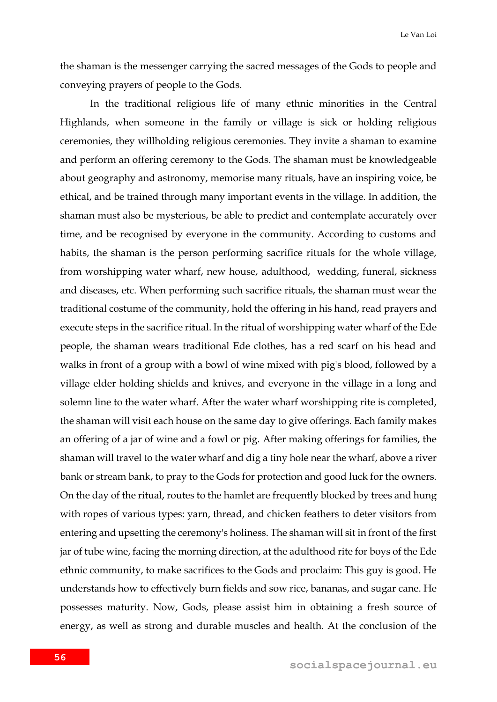the shaman is the messenger carrying the sacred messages of the Gods to people and conveying prayers of people to the Gods.

In the traditional religious life of many ethnic minorities in the Central Highlands, when someone in the family or village is sick or holding religious ceremonies, they willholding religious ceremonies. They invite a shaman to examine and perform an offering ceremony to the Gods. The shaman must be knowledgeable about geography and astronomy, memorise many rituals, have an inspiring voice, be ethical, and be trained through many important events in the village. In addition, the shaman must also be mysterious, be able to predict and contemplate accurately over time, and be recognised by everyone in the community. According to customs and habits, the shaman is the person performing sacrifice rituals for the whole village, from worshipping water wharf, new house, adulthood, wedding, funeral, sickness and diseases, etc. When performing such sacrifice rituals, the shaman must wear the traditional costume of the community, hold the offering in his hand, read prayers and execute steps in the sacrifice ritual. In the ritual of worshipping water wharf of the Ede people, the shaman wears traditional Ede clothes, has a red scarf on his head and walks in front of a group with a bowl of wine mixed with pig's blood, followed by a village elder holding shields and knives, and everyone in the village in a long and solemn line to the water wharf. After the water wharf worshipping rite is completed, the shaman will visit each house on the same day to give offerings. Each family makes an offering of a jar of wine and a fowl or pig. After making offerings for families, the shaman will travel to the water wharf and dig a tiny hole near the wharf, above a river bank or stream bank, to pray to the Gods for protection and good luck for the owners. On the day of the ritual, routes to the hamlet are frequently blocked by trees and hung with ropes of various types: yarn, thread, and chicken feathers to deter visitors from entering and upsetting the ceremony's holiness. The shaman will sit in front of the first jar of tube wine, facing the morning direction, at the adulthood rite for boys of the Ede ethnic community, to make sacrifices to the Gods and proclaim: This guy is good. He understands how to effectively burn fields and sow rice, bananas, and sugar cane. He possesses maturity. Now, Gods, please assist him in obtaining a fresh source of energy, as well as strong and durable muscles and health. At the conclusion of the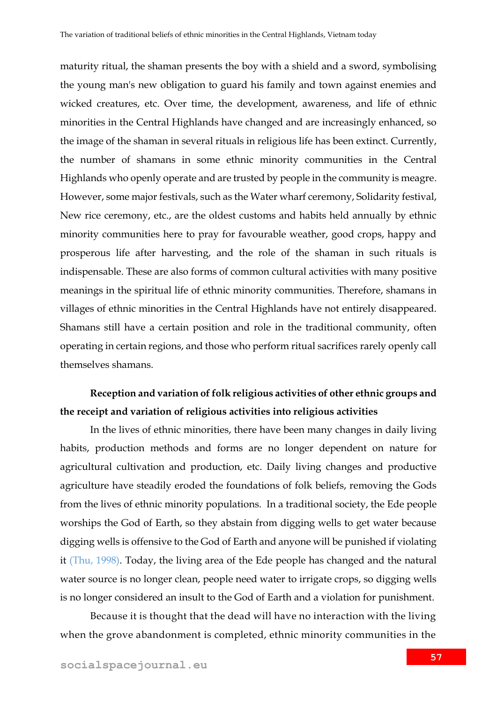maturity ritual, the shaman presents the boy with a shield and a sword, symbolising the young man's new obligation to guard his family and town against enemies and wicked creatures, etc. Over time, the development, awareness, and life of ethnic minorities in the Central Highlands have changed and are increasingly enhanced, so the image of the shaman in several rituals in religious life has been extinct. Currently, the number of shamans in some ethnic minority communities in the Central Highlands who openly operate and are trusted by people in the community is meagre. However, some major festivals, such as the Water wharf ceremony, Solidarity festival, New rice ceremony, etc., are the oldest customs and habits held annually by ethnic minority communities here to pray for favourable weather, good crops, happy and prosperous life after harvesting, and the role of the shaman in such rituals is indispensable. These are also forms of common cultural activities with many positive meanings in the spiritual life of ethnic minority communities. Therefore, shamans in villages of ethnic minorities in the Central Highlands have not entirely disappeared. Shamans still have a certain position and role in the traditional community, often operating in certain regions, and those who perform ritual sacrifices rarely openly call themselves shamans.

### **Reception and variation of folk religious activities of other ethnic groups and the receipt and variation of religious activities into religious activities**

In the lives of ethnic minorities, there have been many changes in daily living habits, production methods and forms are no longer dependent on nature for agricultural cultivation and production, etc. Daily living changes and productive agriculture have steadily eroded the foundations of folk beliefs, removing the Gods from the lives of ethnic minority populations. In a traditional society, the Ede people worships the God of Earth, so they abstain from digging wells to get water because digging wells is offensive to the God of Earth and anyone will be punished if violating it (Thu, 1998). Today, the living area of the Ede people has changed and the natural water source is no longer clean, people need water to irrigate crops, so digging wells is no longer considered an insult to the God of Earth and a violation for punishment.

Because it is thought that the dead will have no interaction with the living when the grove abandonment is completed, ethnic minority communities in the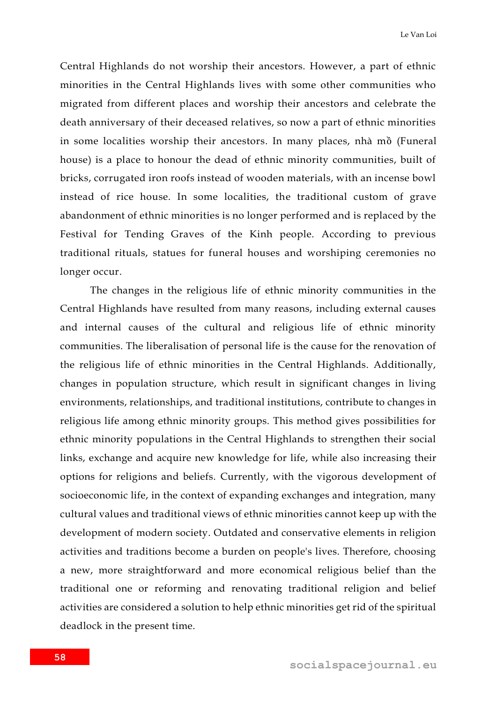Central Highlands do not worship their ancestors. However, a part of ethnic minorities in the Central Highlands lives with some other communities who migrated from different places and worship their ancestors and celebrate the death anniversary of their deceased relatives, so now a part of ethnic minorities in some localities worship their ancestors. In many places, nhà mồ (Funeral house) is a place to honour the dead of ethnic minority communities, built of bricks, corrugated iron roofs instead of wooden materials, with an incense bowl instead of rice house. In some localities, the traditional custom of grave abandonment of ethnic minorities is no longer performed and is replaced by the Festival for Tending Graves of the Kinh people. According to previous traditional rituals, statues for funeral houses and worshiping ceremonies no longer occur.

The changes in the religious life of ethnic minority communities in the Central Highlands have resulted from many reasons, including external causes and internal causes of the cultural and religious life of ethnic minority communities. The liberalisation of personal life is the cause for the renovation of the religious life of ethnic minorities in the Central Highlands. Additionally, changes in population structure, which result in significant changes in living environments, relationships, and traditional institutions, contribute to changes in religious life among ethnic minority groups. This method gives possibilities for ethnic minority populations in the Central Highlands to strengthen their social links, exchange and acquire new knowledge for life, while also increasing their options for religions and beliefs. Currently, with the vigorous development of socioeconomic life, in the context of expanding exchanges and integration, many cultural values and traditional views of ethnic minorities cannot keep up with the development of modern society. Outdated and conservative elements in religion activities and traditions become a burden on people's lives. Therefore, choosing a new, more straightforward and more economical religious belief than the traditional one or reforming and renovating traditional religion and belief activities are considered a solution to help ethnic minorities get rid of the spiritual deadlock in the present time.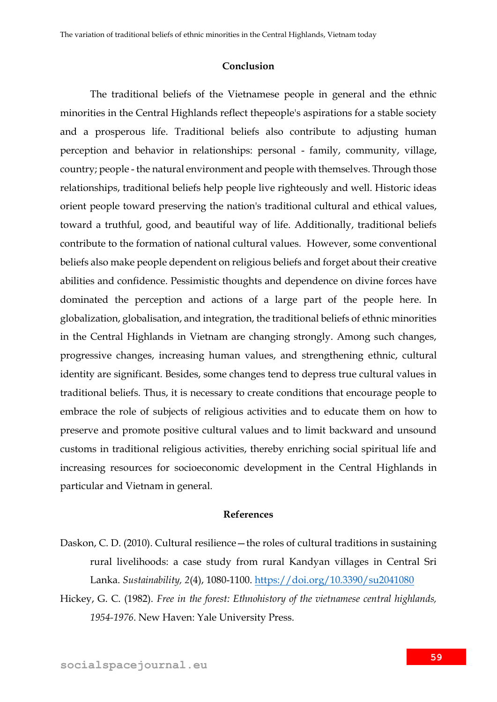#### **Conclusion**

The traditional beliefs of the Vietnamese people in general and the ethnic minorities in the Central Highlands reflect thepeople's aspirations for a stable society and a prosperous life. Traditional beliefs also contribute to adjusting human perception and behavior in relationships: personal - family, community, village, country; people - the natural environment and people with themselves. Through those relationships, traditional beliefs help people live righteously and well. Historic ideas orient people toward preserving the nation's traditional cultural and ethical values, toward a truthful, good, and beautiful way of life. Additionally, traditional beliefs contribute to the formation of national cultural values. However, some conventional beliefs also make people dependent on religious beliefs and forget about their creative abilities and confidence. Pessimistic thoughts and dependence on divine forces have dominated the perception and actions of a large part of the people here. In globalization, globalisation, and integration, the traditional beliefs of ethnic minorities in the Central Highlands in Vietnam are changing strongly. Among such changes, progressive changes, increasing human values, and strengthening ethnic, cultural identity are significant. Besides, some changes tend to depress true cultural values in traditional beliefs. Thus, it is necessary to create conditions that encourage people to embrace the role of subjects of religious activities and to educate them on how to preserve and promote positive cultural values and to limit backward and unsound customs in traditional religious activities, thereby enriching social spiritual life and increasing resources for socioeconomic development in the Central Highlands in particular and Vietnam in general.

#### **References**

- Daskon, C. D. (2010). Cultural resilience—the roles of cultural traditions in sustaining rural livelihoods: a case study from rural Kandyan villages in Central Sri Lanka. *Sustainability, 2*(4), 1080-1100.<https://doi.org/10.3390/su2041080>
- Hickey, G. C. (1982). *Free in the forest: Ethnohistory of the vietnamese central highlands, 1954-1976*. New Haven: Yale University Press.